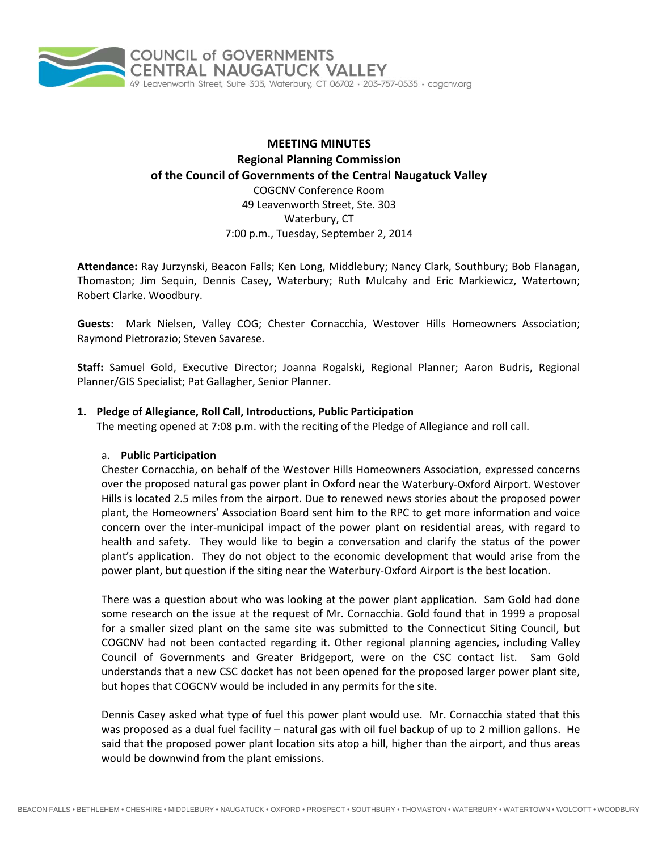

# **MEETING MINUTES Regional Planning Commission of the Council of Governments of the Central Naugatuck Valley** COGCNV Conference Room 49 Leavenworth Street, Ste. 303 Waterbury, CT 7:00 p.m., Tuesday, September 2, 2014

**Attendance:** Ray Jurzynski, Beacon Falls; Ken Long, Middlebury; Nancy Clark, Southbury; Bob Flanagan, Thomaston; Jim Sequin, Dennis Casey, Waterbury; Ruth Mulcahy and Eric Markiewicz, Watertown; Robert Clarke. Woodbury.

**Guests:** Mark Nielsen, Valley COG; Chester Cornacchia, Westover Hills Homeowners Association; Raymond Pietrorazio; Steven Savarese.

**Staff:** Samuel Gold, Executive Director; Joanna Rogalski, Regional Planner; Aaron Budris, Regional Planner/GIS Specialist; Pat Gallagher, Senior Planner.

#### **1. Pledge of Allegiance, Roll Call, Introductions, Public Participation**

The meeting opened at 7:08 p.m. with the reciting of the Pledge of Allegiance and roll call.

#### a. **Public Participation**

Chester Cornacchia, on behalf of the Westover Hills Homeowners Association, expressed concerns over the proposed natural gas power plant in Oxford near the Waterbury‐Oxford Airport. Westover Hills is located 2.5 miles from the airport. Due to renewed news stories about the proposed power plant, the Homeowners' Association Board sent him to the RPC to get more information and voice concern over the inter‐municipal impact of the power plant on residential areas, with regard to health and safety. They would like to begin a conversation and clarify the status of the power plant's application. They do not object to the economic development that would arise from the power plant, but question if the siting near the Waterbury‐Oxford Airport is the best location.

There was a question about who was looking at the power plant application. Sam Gold had done some research on the issue at the request of Mr. Cornacchia. Gold found that in 1999 a proposal for a smaller sized plant on the same site was submitted to the Connecticut Siting Council, but COGCNV had not been contacted regarding it. Other regional planning agencies, including Valley Council of Governments and Greater Bridgeport, were on the CSC contact list. Sam Gold understands that a new CSC docket has not been opened for the proposed larger power plant site, but hopes that COGCNV would be included in any permits for the site.

Dennis Casey asked what type of fuel this power plant would use. Mr. Cornacchia stated that this was proposed as a dual fuel facility – natural gas with oil fuel backup of up to 2 million gallons. He said that the proposed power plant location sits atop a hill, higher than the airport, and thus areas would be downwind from the plant emissions.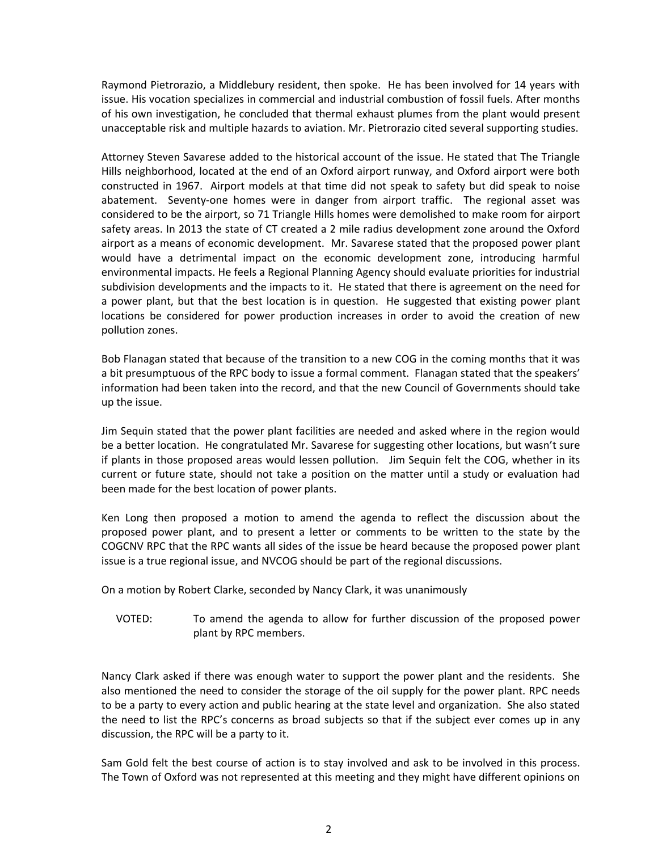Raymond Pietrorazio, a Middlebury resident, then spoke. He has been involved for 14 years with issue. His vocation specializes in commercial and industrial combustion of fossil fuels. After months of his own investigation, he concluded that thermal exhaust plumes from the plant would present unacceptable risk and multiple hazards to aviation. Mr. Pietrorazio cited several supporting studies.

Attorney Steven Savarese added to the historical account of the issue. He stated that The Triangle Hills neighborhood, located at the end of an Oxford airport runway, and Oxford airport were both constructed in 1967. Airport models at that time did not speak to safety but did speak to noise abatement. Seventy-one homes were in danger from airport traffic. The regional asset was considered to be the airport, so 71 Triangle Hills homes were demolished to make room for airport safety areas. In 2013 the state of CT created a 2 mile radius development zone around the Oxford airport as a means of economic development. Mr. Savarese stated that the proposed power plant would have a detrimental impact on the economic development zone, introducing harmful environmental impacts. He feels a Regional Planning Agency should evaluate priorities for industrial subdivision developments and the impacts to it. He stated that there is agreement on the need for a power plant, but that the best location is in question. He suggested that existing power plant locations be considered for power production increases in order to avoid the creation of new pollution zones.

Bob Flanagan stated that because of the transition to a new COG in the coming months that it was a bit presumptuous of the RPC body to issue a formal comment. Flanagan stated that the speakers' information had been taken into the record, and that the new Council of Governments should take up the issue.

Jim Sequin stated that the power plant facilities are needed and asked where in the region would be a better location. He congratulated Mr. Savarese for suggesting other locations, but wasn't sure if plants in those proposed areas would lessen pollution. Jim Sequin felt the COG, whether in its current or future state, should not take a position on the matter until a study or evaluation had been made for the best location of power plants.

Ken Long then proposed a motion to amend the agenda to reflect the discussion about the proposed power plant, and to present a letter or comments to be written to the state by the COGCNV RPC that the RPC wants all sides of the issue be heard because the proposed power plant issue is a true regional issue, and NVCOG should be part of the regional discussions.

On a motion by Robert Clarke, seconded by Nancy Clark, it was unanimously

VOTED: To amend the agenda to allow for further discussion of the proposed power plant by RPC members.

Nancy Clark asked if there was enough water to support the power plant and the residents. She also mentioned the need to consider the storage of the oil supply for the power plant. RPC needs to be a party to every action and public hearing at the state level and organization. She also stated the need to list the RPC's concerns as broad subjects so that if the subject ever comes up in any discussion, the RPC will be a party to it.

Sam Gold felt the best course of action is to stay involved and ask to be involved in this process. The Town of Oxford was not represented at this meeting and they might have different opinions on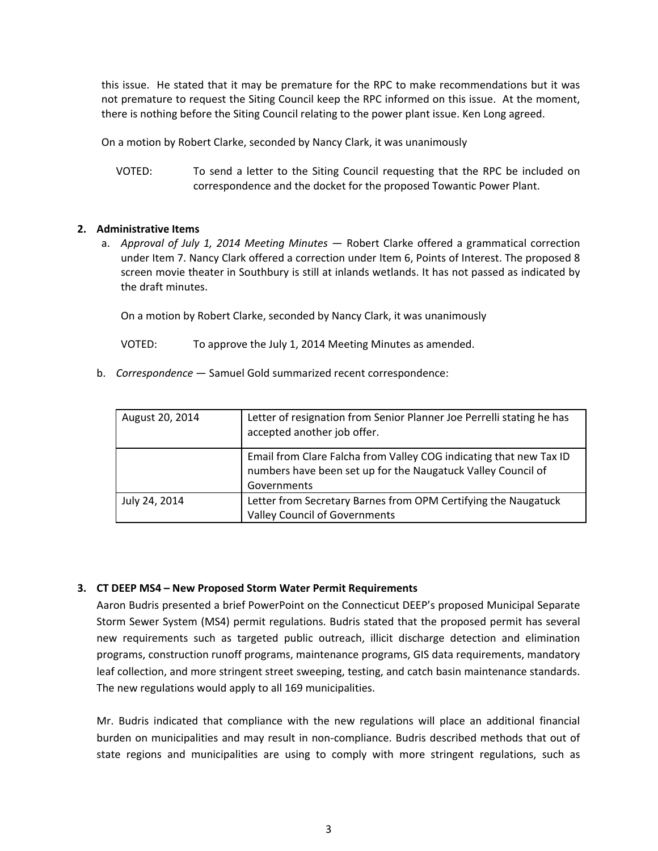this issue. He stated that it may be premature for the RPC to make recommendations but it was not premature to request the Siting Council keep the RPC informed on this issue. At the moment, there is nothing before the Siting Council relating to the power plant issue. Ken Long agreed.

On a motion by Robert Clarke, seconded by Nancy Clark, it was unanimously

VOTED: To send a letter to the Siting Council requesting that the RPC be included on correspondence and the docket for the proposed Towantic Power Plant.

## **2. Administrative Items**

a. *Approval of July 1, 2014 Meeting Minutes* — Robert Clarke offered a grammatical correction under Item 7. Nancy Clark offered a correction under Item 6, Points of Interest. The proposed 8 screen movie theater in Southbury is still at inlands wetlands. It has not passed as indicated by the draft minutes.

On a motion by Robert Clarke, seconded by Nancy Clark, it was unanimously

VOTED: To approve the July 1, 2014 Meeting Minutes as amended.

b. *Correspondence* — Samuel Gold summarized recent correspondence:

| August 20, 2014 | Letter of resignation from Senior Planner Joe Perrelli stating he has<br>accepted another job offer.                                              |
|-----------------|---------------------------------------------------------------------------------------------------------------------------------------------------|
|                 | Email from Clare Falcha from Valley COG indicating that new Tax ID<br>numbers have been set up for the Naugatuck Valley Council of<br>Governments |
| July 24, 2014   | Letter from Secretary Barnes from OPM Certifying the Naugatuck<br><b>Valley Council of Governments</b>                                            |

### **3. CT DEEP MS4 – New Proposed Storm Water Permit Requirements**

Aaron Budris presented a brief PowerPoint on the Connecticut DEEP's proposed Municipal Separate Storm Sewer System (MS4) permit regulations. Budris stated that the proposed permit has several new requirements such as targeted public outreach, illicit discharge detection and elimination programs, construction runoff programs, maintenance programs, GIS data requirements, mandatory leaf collection, and more stringent street sweeping, testing, and catch basin maintenance standards. The new regulations would apply to all 169 municipalities.

Mr. Budris indicated that compliance with the new regulations will place an additional financial burden on municipalities and may result in non‐compliance. Budris described methods that out of state regions and municipalities are using to comply with more stringent regulations, such as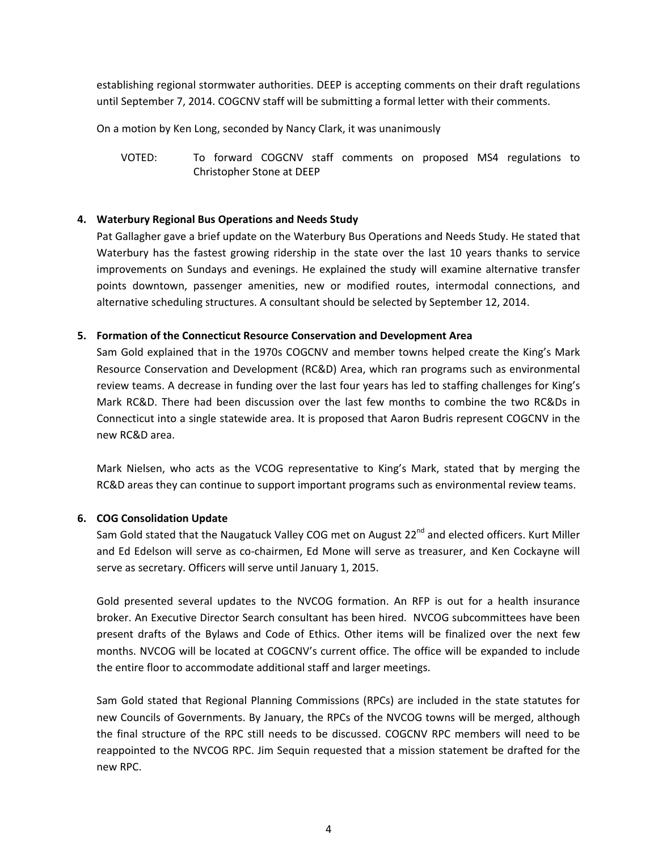establishing regional stormwater authorities. DEEP is accepting comments on their draft regulations until September 7, 2014. COGCNV staff will be submitting a formal letter with their comments.

On a motion by Ken Long, seconded by Nancy Clark, it was unanimously

VOTED: To forward COGCNV staff comments on proposed MS4 regulations to Christopher Stone at DEEP

## **4. Waterbury Regional Bus Operations and Needs Study**

Pat Gallagher gave a brief update on the Waterbury Bus Operations and Needs Study. He stated that Waterbury has the fastest growing ridership in the state over the last 10 years thanks to service improvements on Sundays and evenings. He explained the study will examine alternative transfer points downtown, passenger amenities, new or modified routes, intermodal connections, and alternative scheduling structures. A consultant should be selected by September 12, 2014.

### **5. Formation of the Connecticut Resource Conservation and Development Area**

Sam Gold explained that in the 1970s COGCNV and member towns helped create the King's Mark Resource Conservation and Development (RC&D) Area, which ran programs such as environmental review teams. A decrease in funding over the last four years has led to staffing challenges for King's Mark RC&D. There had been discussion over the last few months to combine the two RC&Ds in Connecticut into a single statewide area. It is proposed that Aaron Budris represent COGCNV in the new RC&D area.

Mark Nielsen, who acts as the VCOG representative to King's Mark, stated that by merging the RC&D areas they can continue to support important programs such as environmental review teams.

### **6. COG Consolidation Update**

Sam Gold stated that the Naugatuck Valley COG met on August 22<sup>nd</sup> and elected officers. Kurt Miller and Ed Edelson will serve as co-chairmen, Ed Mone will serve as treasurer, and Ken Cockayne will serve as secretary. Officers will serve until January 1, 2015.

Gold presented several updates to the NVCOG formation. An RFP is out for a health insurance broker. An Executive Director Search consultant has been hired. NVCOG subcommittees have been present drafts of the Bylaws and Code of Ethics. Other items will be finalized over the next few months. NVCOG will be located at COGCNV's current office. The office will be expanded to include the entire floor to accommodate additional staff and larger meetings.

Sam Gold stated that Regional Planning Commissions (RPCs) are included in the state statutes for new Councils of Governments. By January, the RPCs of the NVCOG towns will be merged, although the final structure of the RPC still needs to be discussed. COGCNV RPC members will need to be reappointed to the NVCOG RPC. Jim Sequin requested that a mission statement be drafted for the new RPC.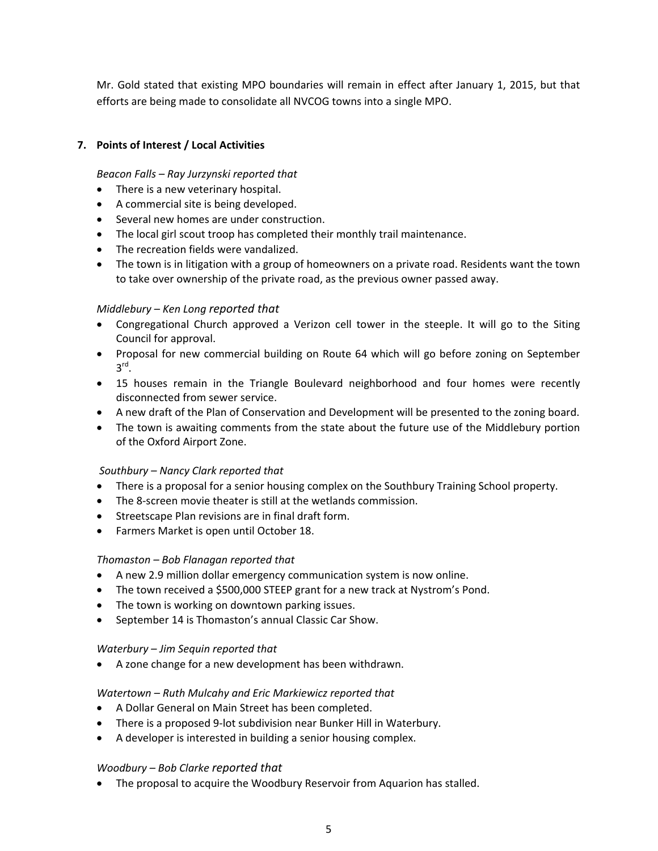Mr. Gold stated that existing MPO boundaries will remain in effect after January 1, 2015, but that efforts are being made to consolidate all NVCOG towns into a single MPO.

## **7. Points of Interest / Local Activities**

## *Beacon Falls – Ray Jurzynski reported that*

- There is a new veterinary hospital.
- A commercial site is being developed.
- Several new homes are under construction.
- The local girl scout troop has completed their monthly trail maintenance.
- The recreation fields were vandalized.
- The town is in litigation with a group of homeowners on a private road. Residents want the town to take over ownership of the private road, as the previous owner passed away.

### *Middlebury – Ken Long reported that*

- Congregational Church approved a Verizon cell tower in the steeple. It will go to the Siting Council for approval.
- Proposal for new commercial building on Route 64 which will go before zoning on September  $3^{\text{rd}}$ .
- 15 houses remain in the Triangle Boulevard neighborhood and four homes were recently disconnected from sewer service.
- A new draft of the Plan of Conservation and Development will be presented to the zoning board.
- The town is awaiting comments from the state about the future use of the Middlebury portion of the Oxford Airport Zone.

### *Southbury – Nancy Clark reported that*

- There is a proposal for a senior housing complex on the Southbury Training School property.
- The 8-screen movie theater is still at the wetlands commission.
- Streetscape Plan revisions are in final draft form.
- Farmers Market is open until October 18.

### *Thomaston – Bob Flanagan reported that*

- A new 2.9 million dollar emergency communication system is now online.
- The town received a \$500,000 STEEP grant for a new track at Nystrom's Pond.
- The town is working on downtown parking issues.
- September 14 is Thomaston's annual Classic Car Show.

#### *Waterbury – Jim Sequin reported that*

A zone change for a new development has been withdrawn.

### *Watertown – Ruth Mulcahy and Eric Markiewicz reported that*

- A Dollar General on Main Street has been completed.
- There is a proposed 9-lot subdivision near Bunker Hill in Waterbury.
- A developer is interested in building a senior housing complex.

### *Woodbury – Bob Clarke reported that*

The proposal to acquire the Woodbury Reservoir from Aquarion has stalled.